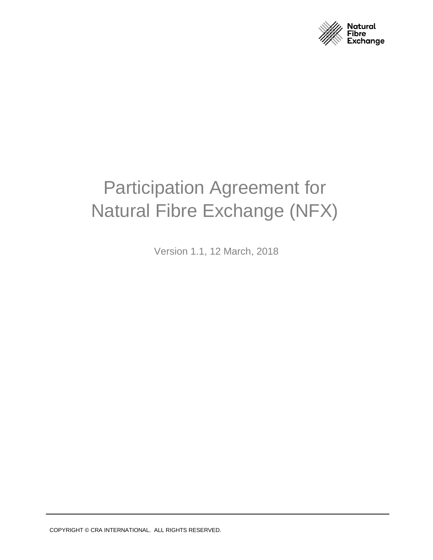

# <span id="page-0-0"></span>Participation Agreement for Natural Fibre Exchange (NFX)

Version 1.1, 12 March, 2018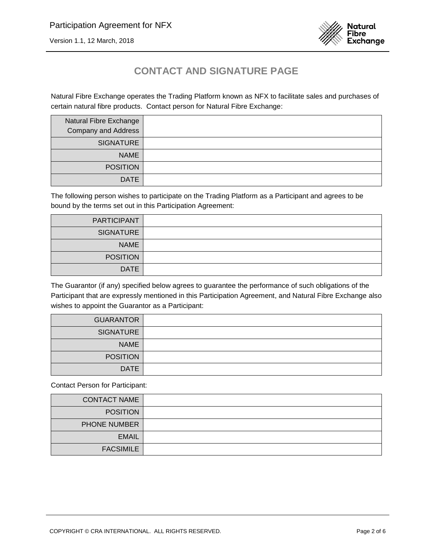



# **CONTACT AND SIGNATURE PAGE**

Natural Fibre Exchange operates the Trading Platform known as NFX to facilitate sales and purchases of certain natural fibre products. Contact person for Natural Fibre Exchange:

| Natural Fibre Exchange<br><b>Company and Address</b> |  |
|------------------------------------------------------|--|
| <b>SIGNATURE</b>                                     |  |
| <b>NAME</b>                                          |  |
| <b>POSITION</b>                                      |  |
| <b>DATE</b>                                          |  |

The following person wishes to participate on the Trading Platform as a Participant and agrees to be bound by the terms set out in this Participation Agreement:

| PARTICIPANT      |  |
|------------------|--|
| <b>SIGNATURE</b> |  |
| <b>NAME</b>      |  |
| <b>POSITION</b>  |  |
| <b>DATE</b>      |  |

The Guarantor (if any) specified below agrees to guarantee the performance of such obligations of the Participant that are expressly mentioned in this Participation Agreement, and Natural Fibre Exchange also wishes to appoint the Guarantor as a Participant:

| <b>GUARANTOR</b> |  |
|------------------|--|
| <b>SIGNATURE</b> |  |
| <b>NAME</b>      |  |
| <b>POSITION</b>  |  |
| <b>DATE</b>      |  |

Contact Person for Participant:

| <b>CONTACT NAME</b> |  |
|---------------------|--|
| <b>POSITION</b>     |  |
| PHONE NUMBER        |  |
| <b>EMAIL</b>        |  |
| <b>FACSIMILE</b>    |  |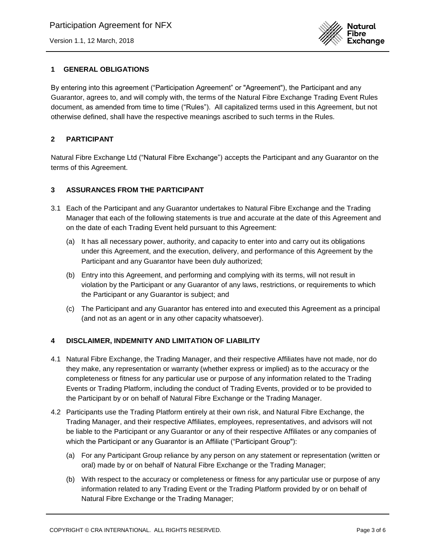[Version 1.1, 12 March, 2018](#page-0-0)



# **1 GENERAL OBLIGATIONS**

By entering into this agreement ("Participation Agreement" or "Agreement"), the Participant and any Guarantor, agrees to, and will comply with, the terms of the Natural Fibre Exchange Trading Event Rules document, as amended from time to time ("Rules"). All capitalized terms used in this Agreement, but not otherwise defined, shall have the respective meanings ascribed to such terms in the Rules.

## **2 PARTICIPANT**

Natural Fibre Exchange Ltd ("Natural Fibre Exchange") accepts the Participant and any Guarantor on the terms of this Agreement.

### **3 ASSURANCES FROM THE PARTICIPANT**

- 3.1 Each of the Participant and any Guarantor undertakes to Natural Fibre Exchange and the Trading Manager that each of the following statements is true and accurate at the date of this Agreement and on the date of each Trading Event held pursuant to this Agreement:
	- (a) It has all necessary power, authority, and capacity to enter into and carry out its obligations under this Agreement, and the execution, delivery, and performance of this Agreement by the Participant and any Guarantor have been duly authorized;
	- (b) Entry into this Agreement, and performing and complying with its terms, will not result in violation by the Participant or any Guarantor of any laws, restrictions, or requirements to which the Participant or any Guarantor is subject; and
	- (c) The Participant and any Guarantor has entered into and executed this Agreement as a principal (and not as an agent or in any other capacity whatsoever).

### **4 DISCLAIMER, INDEMNITY AND LIMITATION OF LIABILITY**

- 4.1 Natural Fibre Exchange, the Trading Manager, and their respective Affiliates have not made, nor do they make, any representation or warranty (whether express or implied) as to the accuracy or the completeness or fitness for any particular use or purpose of any information related to the Trading Events or Trading Platform, including the conduct of Trading Events, provided or to be provided to the Participant by or on behalf of Natural Fibre Exchange or the Trading Manager.
- 4.2 Participants use the Trading Platform entirely at their own risk, and Natural Fibre Exchange, the Trading Manager, and their respective Affiliates, employees, representatives, and advisors will not be liable to the Participant or any Guarantor or any of their respective Affiliates or any companies of which the Participant or any Guarantor is an Affiliate ("Participant Group"):
	- (a) For any Participant Group reliance by any person on any statement or representation (written or oral) made by or on behalf of Natural Fibre Exchange or the Trading Manager;
	- (b) With respect to the accuracy or completeness or fitness for any particular use or purpose of any information related to any Trading Event or the Trading Platform provided by or on behalf of Natural Fibre Exchange or the Trading Manager;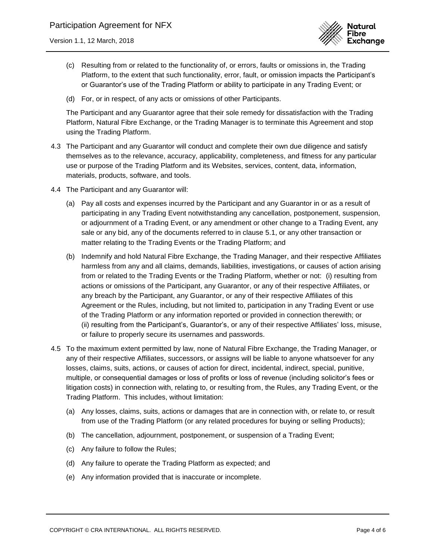

- (c) Resulting from or related to the functionality of, or errors, faults or omissions in, the Trading Platform, to the extent that such functionality, error, fault, or omission impacts the Participant's or Guarantor's use of the Trading Platform or ability to participate in any Trading Event; or
- (d) For, or in respect, of any acts or omissions of other Participants.

The Participant and any Guarantor agree that their sole remedy for dissatisfaction with the Trading Platform, Natural Fibre Exchange, or the Trading Manager is to terminate this Agreement and stop using the Trading Platform.

- 4.3 The Participant and any Guarantor will conduct and complete their own due diligence and satisfy themselves as to the relevance, accuracy, applicability, completeness, and fitness for any particular use or purpose of the Trading Platform and its Websites, services, content, data, information, materials, products, software, and tools.
- 4.4 The Participant and any Guarantor will:
	- (a) Pay all costs and expenses incurred by the Participant and any Guarantor in or as a result of participating in any Trading Event notwithstanding any cancellation, postponement, suspension, or adjournment of a Trading Event, or any amendment or other change to a Trading Event, any sale or any bid, any of the documents referred to in clause 5.1, or any other transaction or matter relating to the Trading Events or the Trading Platform; and
	- (b) Indemnify and hold Natural Fibre Exchange, the Trading Manager, and their respective Affiliates harmless from any and all claims, demands, liabilities, investigations, or causes of action arising from or related to the Trading Events or the Trading Platform, whether or not: (i) resulting from actions or omissions of the Participant, any Guarantor, or any of their respective Affiliates, or any breach by the Participant, any Guarantor, or any of their respective Affiliates of this Agreement or the Rules, including, but not limited to, participation in any Trading Event or use of the Trading Platform or any information reported or provided in connection therewith; or (ii) resulting from the Participant's, Guarantor's, or any of their respective Affiliates' loss, misuse, or failure to properly secure its usernames and passwords.
- 4.5 To the maximum extent permitted by law, none of Natural Fibre Exchange, the Trading Manager, or any of their respective Affiliates, successors, or assigns will be liable to anyone whatsoever for any losses, claims, suits, actions, or causes of action for direct, incidental, indirect, special, punitive, multiple, or consequential damages or loss of profits or loss of revenue (including solicitor's fees or litigation costs) in connection with, relating to, or resulting from, the Rules, any Trading Event, or the Trading Platform. This includes, without limitation:
	- (a) Any losses, claims, suits, actions or damages that are in connection with, or relate to, or result from use of the Trading Platform (or any related procedures for buying or selling Products);
	- (b) The cancellation, adjournment, postponement, or suspension of a Trading Event;
	- (c) Any failure to follow the Rules;
	- (d) Any failure to operate the Trading Platform as expected; and
	- (e) Any information provided that is inaccurate or incomplete.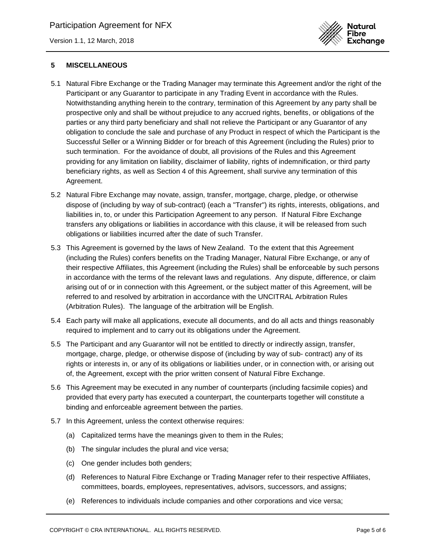[Version 1.1, 12 March, 2018](#page-0-0)



### **5 MISCELLANEOUS**

- 5.1 Natural Fibre Exchange or the Trading Manager may terminate this Agreement and/or the right of the Participant or any Guarantor to participate in any Trading Event in accordance with the Rules. Notwithstanding anything herein to the contrary, termination of this Agreement by any party shall be prospective only and shall be without prejudice to any accrued rights, benefits, or obligations of the parties or any third party beneficiary and shall not relieve the Participant or any Guarantor of any obligation to conclude the sale and purchase of any Product in respect of which the Participant is the Successful Seller or a Winning Bidder or for breach of this Agreement (including the Rules) prior to such termination. For the avoidance of doubt, all provisions of the Rules and this Agreement providing for any limitation on liability, disclaimer of liability, rights of indemnification, or third party beneficiary rights, as well as Section 4 of this Agreement, shall survive any termination of this Agreement.
- 5.2 Natural Fibre Exchange may novate, assign, transfer, mortgage, charge, pledge, or otherwise dispose of (including by way of sub-contract) (each a "Transfer") its rights, interests, obligations, and liabilities in, to, or under this Participation Agreement to any person. If Natural Fibre Exchange transfers any obligations or liabilities in accordance with this clause, it will be released from such obligations or liabilities incurred after the date of such Transfer.
- 5.3 This Agreement is governed by the laws of New Zealand. To the extent that this Agreement (including the Rules) confers benefits on the Trading Manager, Natural Fibre Exchange, or any of their respective Affiliates, this Agreement (including the Rules) shall be enforceable by such persons in accordance with the terms of the relevant laws and regulations. Any dispute, difference, or claim arising out of or in connection with this Agreement, or the subject matter of this Agreement, will be referred to and resolved by arbitration in accordance with the UNCITRAL Arbitration Rules (Arbitration Rules). The language of the arbitration will be English.
- 5.4 Each party will make all applications, execute all documents, and do all acts and things reasonably required to implement and to carry out its obligations under the Agreement.
- 5.5 The Participant and any Guarantor will not be entitled to directly or indirectly assign, transfer, mortgage, charge, pledge, or otherwise dispose of (including by way of sub- contract) any of its rights or interests in, or any of its obligations or liabilities under, or in connection with, or arising out of, the Agreement, except with the prior written consent of Natural Fibre Exchange.
- 5.6 This Agreement may be executed in any number of counterparts (including facsimile copies) and provided that every party has executed a counterpart, the counterparts together will constitute a binding and enforceable agreement between the parties.
- 5.7 In this Agreement, unless the context otherwise requires:
	- (a) Capitalized terms have the meanings given to them in the Rules;
	- (b) The singular includes the plural and vice versa;
	- (c) One gender includes both genders;
	- (d) References to Natural Fibre Exchange or Trading Manager refer to their respective Affiliates, committees, boards, employees, representatives, advisors, successors, and assigns;
	- (e) References to individuals include companies and other corporations and vice versa;